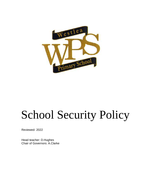

# School Security Policy

Reviewed- 2022

Head teacher: D.Hughes Chair of Governors: A.Clarke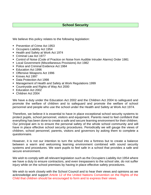# **School Security**

We believe this policy relates to the following legislation:

- Prevention of Crime Act 1953
- Occupiers Liability Act 1954
- Health and Safety at Work Act 1974
- Criminal Law Act 1977
- Control of Noise (Code of Practice on Noise from Audible Intruder Alarms) Order 1981
- Local Government (Miscellaneous Provisions) Act 1982
- Police and Criminal Evidence Act 1984
- Education Act 1996
- Offensive Weapons Act 1996
- Knives Act 1997
- Data Protection Act 1998
- Management of Health and Safety at Work Regulations 1999
- Countryside and Rights of Way Act 2000
- Education Act 2002
- Children Act 2004

We have a duty under the Education Act 2002 and the Children Act 2004 to safeguard and promote the welfare of children and to safeguard and promote the welfare of school personnel and people who use the school under the Health and Safety at Work Act 1974.

Therefore, we believe it is essential to have in place exceptional school security systems to protect pupils, school personnel, visitors and equipment. Parents need to feel confident that everything has been done to create a safe and secure learning environment for their children. Our principal aim is to ensure the personal safety of the whole school community and will have in place effective school security procedures. Periodically we will gauge the views of children, school personnel, parents, visitors and governors by asking them to complete a questionnaire.

However, it is not our intention to turn the school into a fortress but to create a balance between a warm and welcoming learning environment combined with sound security systems and procedures. We want pupils to feel safe in a school that provides a safe and secure environment.

We wish to comply with all relevant legislation such as the Occupiers Liability Act 1954 where we have a duty to ensure contractors, and even trespassers to the school site, do not suffer injury while on the school premises by having in place effective safety procedures.

We wish to work closely with the School Council and to hear their views and opinions as we acknowledge and support Article 12 of the United Nations Convention on the Rights of the Child that children should be encouraged to form and to express their views.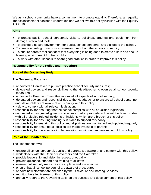We as a school community have a commitment to promote equality. Therefore, an equality impact assessment has been undertaken and we believe this policy is in line with the Equality Act 2010.

## **Aims**

- To protect pupils, school personnel, visitors, buildings, grounds and equipment from damage, arson and theft.
- To provide a secure environment for pupils, school personnel and visitors to the school.
- To create a feeling of security awareness throughout the school community.
- To ensure parents feel confident that everything is being done to create a safe and secure learning environment for their children.
- To work with other schools to share good practice in order to improve this policy.

## **Responsibility for the Policy and Procedure**

## **Role of the Governing Body**

The Governing Body has:

- appointed a Caretaker to put into practice school security measures;
- **delegated powers and responsibilities to the Headteacher to oversee all school security** measures;
- appointed a Premise Committee to look at all aspects of school security;
- delegated powers and responsibilities to the Headteacher to ensure all school personnel and stakeholders are aware of and comply with this policy;
- a duty to comply with all relevant legislation;
- **EX** responsibility for ensuring that the school complies with all equalities legislation;
- **nominated a designated governor to ensure that appropriate action will be taken to deal** with all prejudice related incidents or incidents which are a breach of this policy;
- **Example 1** responsibility for ensuring funding is in place to support this policy;
- responsibility for ensuring this policy and all policies are maintained and updated regularly;
- **Exercise in the set of the set of the set of the set of the set of the set of the set of the set of the set of the set of the set of the set of the set of the set of the set of the set of the set of the set of the set of**
- **•** responsibility for the effective implementation, monitoring and evaluation of this policy

## **Role of the Headteacher**

The Headteacher will:

- ensure all school personnel, pupils and parents are aware of and comply with this policy;
- work closely with the Chair of Governors and the Caretaker;
- **•** provide leadership and vision in respect of equality;
- **•** provide guidance, support and training to all staff;
- **EXECT** ensure that security measures are in place and are effective;
- ensure that all school personnel are aware of procedures;
- appoint new staff that are checked by the Disclosure and Barring Services;
- monitor the effectiveness of this policy;
- **E** annually report to the Governing Body on the success and development of this policy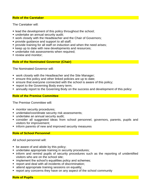## **Role of the Caretaker**

The Caretaker will:

- lead the development of this policy throughout the school;
- undertake an annual security audit;
- work closely with the Headteacher and the Chair of Governors:
- **•** provide guidance and support to all staff;
- **•** provide training for all staff on induction and when the need arises;
- keep up to date with new developments and resources;
- **undertake risk assessments when required;**
- review and monitor:

## **Role of the Nominated Governor (Chair)**

The Nominated Governor will:

- work closely with the Headteacher and the Site Manager;
- ensure this policy and other linked policies are up to date;
- ensure that everyone connected with the school is aware of this policy;
- **report to the Governing Body every term;**
- annually report to the Governing Body on the success and development of this policy

## **Role of the Premise Committee**

The Premise Committee will:

- **•** monitor security procedures;
- undertake/coordinate security risk assessments;
- undertake an annual security audit;
- consider all suggested ideas from school personnel, governors, parents, pupils and visitors for improvement;
- inform parents of new and improved security measures

## **Role of School Personnel**

All school personnel will:

- be aware of and abide by this policy;
- **EXED 10 Indertake appropriate training in security procedures;**
- **.** inform and remind pupils of security procedures such as the reporting of unidentified visitors who are on the school site;
- **E** implement the school's equalities policy and schemes;
- report and deal with all incidents of discrimination;
- attend appropriate training sessions on equality;
- report any concerns they have on any aspect of the school community

## **Role of Pupils**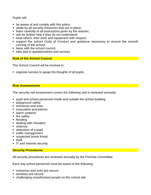Pupils will:

- be aware of and comply with this policy;
- abide by all security measures that are in place;
- **EXECT** listen carefully to all instructions given by the teacher;
- ask for further help if they do not understand;
- treat others, their work and equipment with respect:
- support the school Code of Conduct and guidance necessary to ensure the smooth running of the school;
- liaise with the school council:
- take part in questionnaires and surveys

## **Role of the School Council**

The School Council will be involved in:

■ organise surveys to gauge the thoughts of all pupils;

# **Risk Assessments**

The security risk assessment covers the following and is reviewed annually:

- pupil and school personnel inside and outside the school building
- **•** playground safety
- entrances and exits
- evacuation procedures
- alarm systems
- fire safety
- flooding
- **E** dealing with intruders
- violence
- abduction of a pupil
- traffic management
- suspected bomb threat
- theft
- **T** IT and Internet security

## **Security Procedures**

All security procedures are reviewed annually by the Premise Committee.

Each day school personnel must be aware of the following:

- entrances and exits are secure
- windows are secure
- challenging unauthorized people on the school site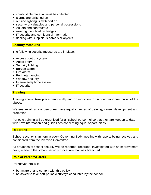- combustible material must be collected
- alarms are switched on
- outside lighting is switched on
- security of valuables and personal possessions
- visitors and contractors
- wearing identification badges
- **IT security and confidential information**
- dealing with suspicious parcels or objects

#### **Security Measures**

The following security measures are in place:

- Access control system
- Audio entry
- **E** Security lighting
- Burglar alarm
- Fire alarm
- Perimeter fencing
- **Window security**
- **E** Internal telephone system
- **T** security

## **Training**

Training should take place periodically and on induction for school personnel on all of the above.

We ensure all school personnel have equal chances of training, career development and promotion.

Periodic training will be organised for all school personnel so that they are kept up to date with new information and guide lines concerning equal opportunities.

## **Reporting**

School security is an item at every Governing Body meeting with reports being received and considered from the Premise Committee.

All breaches of school security will be reported, recorded, investigated with an improvement being made to the school security procedure that was breached.

#### **Role of Parents/Carers**

Parents/carers will:

- $\bullet$  be aware of and comply with this policy;
- be asked to take part periodic surveys conducted by the school;